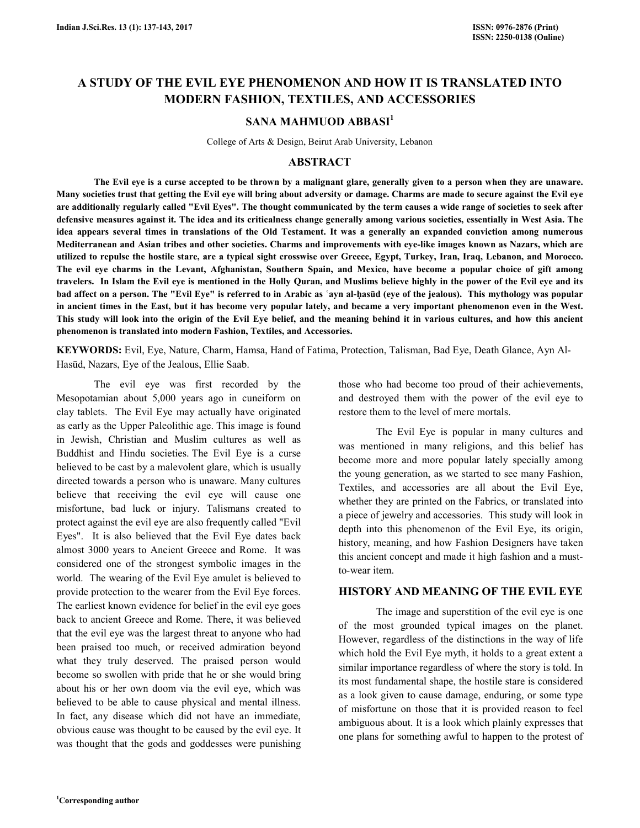# **A STUDY OF THE EVIL EYE PHENOMENON AND HOW IT IS TRANSLATED INTO MODERN FASHION, TEXTILES, AND ACCESSORIES**

## **SANA MAHMUOD ABBASI<sup>1</sup>**

College of Arts & Design, Beirut Arab University, Lebanon

### **ABSTRACT**

 **The Evil eye is a curse accepted to be thrown by a malignant glare, generally given to a person when they are unaware. Many societies trust that getting the Evil eye will bring about adversity or damage. Charms are made to secure against the Evil eye are additionally regularly called "Evil Eyes". The thought communicated by the term causes a wide range of societies to seek after defensive measures against it. The idea and its criticalness change generally among various societies, essentially in West Asia. The idea appears several times in translations of the Old Testament. It was a generally an expanded conviction among numerous Mediterranean and Asian tribes and other societies. Charms and improvements with eye-like images known as Nazars, which are utilized to repulse the hostile stare, are a typical sight crosswise over Greece, Egypt, Turkey, Iran, Iraq, Lebanon, and Morocco. The evil eye charms in the Levant, Afghanistan, Southern Spain, and Mexico, have become a popular choice of gift among travelers. In Islam the Evil eye is mentioned in the Holly Quran, and Muslims believe highly in the power of the Evil eye and its bad affect on a person. The "Evil Eye" is referred to in Arabic as ʿayn al-ḥasūd (eye of the jealous). This mythology was popular in ancient times in the East, but it has become very popular lately, and became a very important phenomenon even in the West. This study will look into the origin of the Evil Eye belief, and the meaning behind it in various cultures, and how this ancient phenomenon is translated into modern Fashion, Textiles, and Accessories.** 

**KEYWORDS:** Evil, Eye, Nature, Charm, Hamsa, Hand of Fatima, Protection, Talisman, Bad Eye, Death Glance, Ayn Al-Hasūd, Nazars, Eye of the Jealous, Ellie Saab.

 The evil eye was first recorded by the Mesopotamian about 5,000 years ago in cuneiform on clay tablets. The Evil Eye may actually have originated as early as the Upper Paleolithic age. This image is found in Jewish, Christian and Muslim cultures as well as Buddhist and Hindu societies. The Evil Eye is a curse believed to be cast by a malevolent glare, which is usually directed towards a person who is unaware. Many cultures believe that receiving the evil eye will cause one misfortune, bad luck or injury. Talismans created to protect against the evil eye are also frequently called "Evil Eyes". It is also believed that the Evil Eye dates back almost 3000 years to Ancient Greece and Rome. It was considered one of the strongest symbolic images in the world. The wearing of the Evil Eye amulet is believed to provide protection to the wearer from the Evil Eye forces. The earliest known evidence for belief in the evil eye goes back to ancient Greece and Rome. There, it was believed that the evil eye was the largest threat to anyone who had been praised too much, or received admiration beyond what they truly deserved. The praised person would become so swollen with pride that he or she would bring about his or her own doom via the evil eye, which was believed to be able to cause physical and mental illness. In fact, any disease which did not have an immediate, obvious cause was thought to be caused by the evil eye. It was thought that the gods and goddesses were punishing

those who had become too proud of their achievements, and destroyed them with the power of the evil eye to restore them to the level of mere mortals.

 The Evil Eye is popular in many cultures and was mentioned in many religions, and this belief has become more and more popular lately specially among the young generation, as we started to see many Fashion, Textiles, and accessories are all about the Evil Eye, whether they are printed on the Fabrics, or translated into a piece of jewelry and accessories. This study will look in depth into this phenomenon of the Evil Eye, its origin, history, meaning, and how Fashion Designers have taken this ancient concept and made it high fashion and a mustto-wear item.

#### **HISTORY AND MEANING OF THE EVIL EYE**

 The image and superstition of the evil eye is one of the most grounded typical images on the planet. However, regardless of the distinctions in the way of life which hold the Evil Eye myth, it holds to a great extent a similar importance regardless of where the story is told. In its most fundamental shape, the hostile stare is considered as a look given to cause damage, enduring, or some type of misfortune on those that it is provided reason to feel ambiguous about. It is a look which plainly expresses that one plans for something awful to happen to the protest of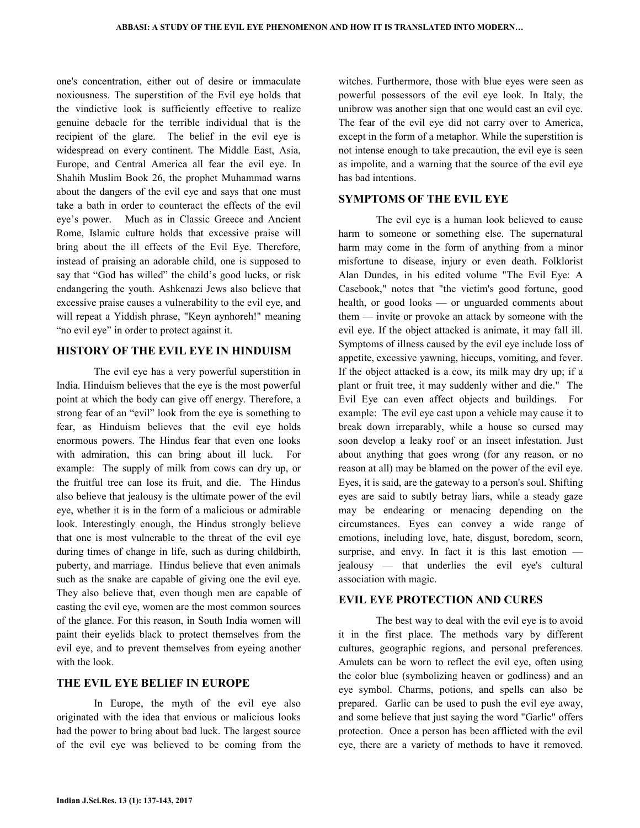one's concentration, either out of desire or immaculate noxiousness. The superstition of the Evil eye holds that the vindictive look is sufficiently effective to realize genuine debacle for the terrible individual that is the recipient of the glare. The belief in the evil eye is widespread on every continent. The Middle East, Asia, Europe, and Central America all fear the evil eye. In Shahih Muslim Book 26, the prophet Muhammad warns about the dangers of the evil eye and says that one must take a bath in order to counteract the effects of the evil eye's power. Much as in Classic Greece and Ancient Rome, Islamic culture holds that excessive praise will bring about the ill effects of the Evil Eye. Therefore, instead of praising an adorable child, one is supposed to say that "God has willed" the child's good lucks, or risk endangering the youth. Ashkenazi Jews also believe that excessive praise causes a vulnerability to the evil eye, and will repeat a Yiddish phrase, "Keyn aynhoreh!" meaning "no evil eye" in order to protect against it.

### **HISTORY OF THE EVIL EYE IN HINDUISM**

 The evil eye has a very powerful superstition in India. Hinduism believes that the eye is the most powerful point at which the body can give off energy. Therefore, a strong fear of an "evil" look from the eye is something to fear, as Hinduism believes that the evil eye holds enormous powers. The Hindus fear that even one looks with admiration, this can bring about ill luck. For example: The supply of milk from cows can dry up, or the fruitful tree can lose its fruit, and die. The Hindus also believe that jealousy is the ultimate power of the evil eye, whether it is in the form of a malicious or admirable look. Interestingly enough, the Hindus strongly believe that one is most vulnerable to the threat of the evil eye during times of change in life, such as during childbirth, puberty, and marriage. Hindus believe that even animals such as the snake are capable of giving one the evil eye. They also believe that, even though men are capable of casting the evil eye, women are the most common sources of the glance. For this reason, in South India women will paint their eyelids black to protect themselves from the evil eye, and to prevent themselves from eyeing another with the look.

#### **THE EVIL EYE BELIEF IN EUROPE**

 In Europe, the myth of the evil eye also originated with the idea that envious or malicious looks had the power to bring about bad luck. The largest source of the evil eye was believed to be coming from the

witches. Furthermore, those with blue eyes were seen as powerful possessors of the evil eye look. In Italy, the unibrow was another sign that one would cast an evil eye. The fear of the evil eye did not carry over to America, except in the form of a metaphor. While the superstition is not intense enough to take precaution, the evil eye is seen as impolite, and a warning that the source of the evil eye has bad intentions.

### **SYMPTOMS OF THE EVIL EYE**

 The evil eye is a human look believed to cause harm to someone or something else. The supernatural harm may come in the form of anything from a minor misfortune to disease, injury or even death. Folklorist Alan Dundes, in his edited volume "The Evil Eye: A Casebook," notes that "the victim's good fortune, good health, or good looks — or unguarded comments about them — invite or provoke an attack by someone with the evil eye. If the object attacked is animate, it may fall ill. Symptoms of illness caused by the evil eye include loss of appetite, excessive yawning, hiccups, vomiting, and fever. If the object attacked is a cow, its milk may dry up; if a plant or fruit tree, it may suddenly wither and die." The Evil Eye can even affect objects and buildings. For example: The evil eye cast upon a vehicle may cause it to break down irreparably, while a house so cursed may soon develop a leaky roof or an insect infestation. Just about anything that goes wrong (for any reason, or no reason at all) may be blamed on the power of the evil eye. Eyes, it is said, are the gateway to a person's soul. Shifting eyes are said to subtly betray liars, while a steady gaze may be endearing or menacing depending on the circumstances. Eyes can convey a wide range of emotions, including love, hate, disgust, boredom, scorn, surprise, and envy. In fact it is this last emotion jealousy — that underlies the evil eye's cultural association with magic.

### **EVIL EYE PROTECTION AND CURES**

 The best way to deal with the evil eye is to avoid it in the first place. The methods vary by different cultures, geographic regions, and personal preferences. Amulets can be worn to reflect the evil eye, often using the color blue (symbolizing heaven or godliness) and an eye symbol. Charms, potions, and spells can also be prepared. Garlic can be used to push the evil eye away, and some believe that just saying the word "Garlic" offers protection. Once a person has been afflicted with the evil eye, there are a variety of methods to have it removed.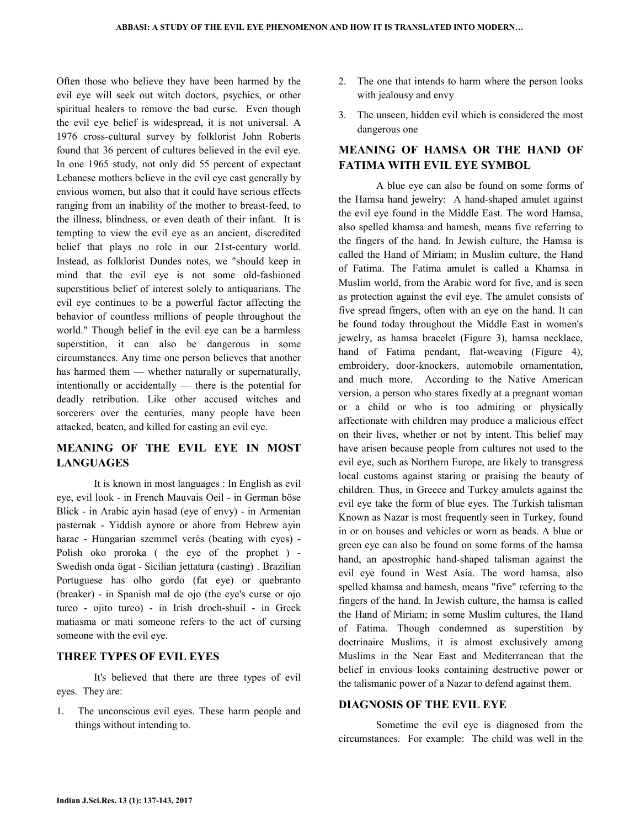Often those who believe they have been harmed by the evil eye will seek out witch doctors, psychics, or other spiritual healers to remove the bad curse. Even though the evil eye belief is widespread, it is not universal. A 1976 cross-cultural survey by folklorist John Roberts found that 36 percent of cultures believed in the evil eye. In one 1965 study, not only did 55 percent of expectant Lebanese mothers believe in the evil eye cast generally by envious women, but also that it could have serious effects ranging from an inability of the mother to breast-feed, to the illness, blindness, or even death of their infant. It is tempting to view the evil eye as an ancient, discredited belief that plays no role in our 21st-century world. Instead, as folklorist Dundes notes, we "should keep in mind that the evil eye is not some old-fashioned superstitious belief of interest solely to antiquarians. The evil eye continues to be a powerful factor affecting the behavior of countless millions of people throughout the world." Though belief in the evil eye can be a harmless superstition, it can also be dangerous in some circumstances. Any time one person believes that another has harmed them — whether naturally or supernaturally, intentionally or accidentally — there is the potential for deadly retribution. Like other accused witches and sorcerers over the centuries, many people have been attacked, beaten, and killed for casting an evil eye.

# **MEANING OF THE EVIL EYE IN MOST LANGUAGES**

 It is known in most languages : In English as evil eye, evil look - in French Mauvais Oeil - in German böse Blick - in Arabic ayin hasad (eye of envy) - in Armenian pasternak - Yiddish aynore or ahore from Hebrew ayin harac - Hungarian szemmel verés (beating with eyes) - Polish oko proroka ( the eye of the prophet ) - Swedish onda ögat - Sicilian jettatura (casting) . Brazilian Portuguese has olho gordo (fat eye) or quebranto (breaker) - in Spanish mal de ojo (the eye's curse or ojo turco - ojito turco) - in Irish droch-shuil - in Greek matiasma or mati someone refers to the act of cursing someone with the evil eye.

### **THREE TYPES OF EVIL EYES**

 It's believed that there are three types of evil eyes. They are:

1. The unconscious evil eyes. These harm people and things without intending to.

- 2. The one that intends to harm where the person looks with jealousy and envy
- 3. The unseen, hidden evil which is considered the most dangerous one

# **MEANING OF HAMSA OR THE HAND OF FATIMA WITH EVIL EYE SYMBOL**

 A blue eye can also be found on some forms of the Hamsa hand jewelry: A hand-shaped amulet against the evil eye found in the Middle East. The word Hamsa, also spelled khamsa and hamesh, means five referring to the fingers of the hand. In Jewish culture, the Hamsa is called the Hand of Miriam; in Muslim culture, the Hand of Fatima. The Fatima amulet is called a Khamsa in Muslim world, from the Arabic word for five, and is seen as protection against the evil eye. The amulet consists of five spread fingers, often with an eye on the hand. It can be found today throughout the Middle East in women's jewelry, as hamsa bracelet (Figure 3), hamsa necklace, hand of Fatima pendant, flat-weaving (Figure 4), embroidery, door-knockers, automobile ornamentation, and much more. According to the Native American version, a person who stares fixedly at a pregnant woman or a child or who is too admiring or physically affectionate with children may produce a malicious effect on their lives, whether or not by intent. This belief may have arisen because people from cultures not used to the evil eye, such as Northern Europe, are likely to transgress local customs against staring or praising the beauty of children. Thus, in Greece and Turkey amulets against the evil eye take the form of blue eyes. The Turkish talisman Known as Nazar is most frequently seen in Turkey, found in or on houses and vehicles or worn as beads. A blue or green eye can also be found on some forms of the hamsa hand, an apostrophic hand-shaped talisman against the evil eye found in West Asia. The word hamsa, also spelled khamsa and hamesh, means "five" referring to the fingers of the hand. In Jewish culture, the hamsa is called the Hand of Miriam; in some Muslim cultures, the Hand of Fatima. Though condemned as superstition by doctrinaire Muslims, it is almost exclusively among Muslims in the Near East and Mediterranean that the belief in envious looks containing destructive power or the talismanic power of a Nazar to defend against them.

## **DIAGNOSIS OF THE EVIL EYE**

 Sometime the evil eye is diagnosed from the circumstances. For example: The child was well in the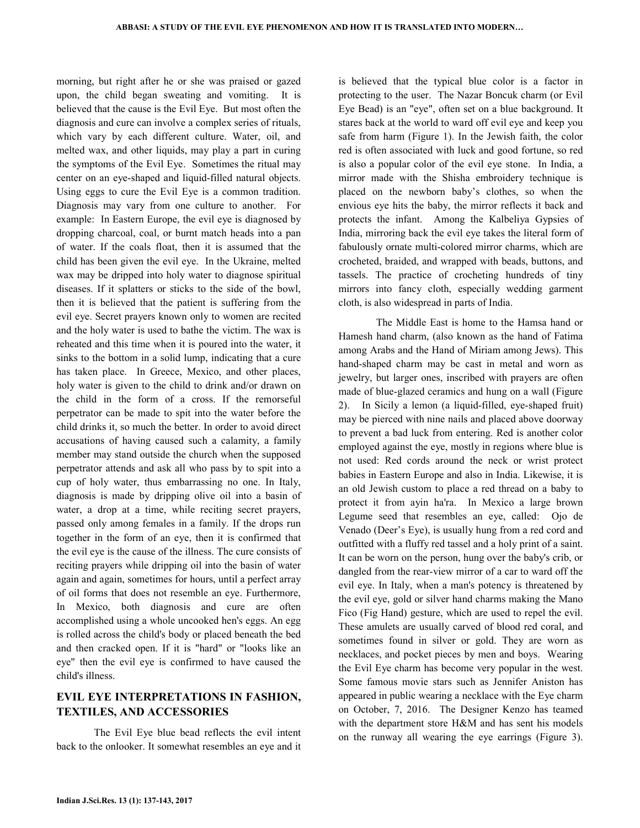morning, but right after he or she was praised or gazed upon, the child began sweating and vomiting. It is believed that the cause is the Evil Eye. But most often the diagnosis and cure can involve a complex series of rituals, which vary by each different culture. Water, oil, and melted wax, and other liquids, may play a part in curing the symptoms of the Evil Eye. Sometimes the ritual may center on an eye-shaped and liquid-filled natural objects. Using eggs to cure the Evil Eye is a common tradition. Diagnosis may vary from one culture to another. For example: In Eastern Europe, the evil eye is diagnosed by dropping charcoal, coal, or burnt match heads into a pan of water. If the coals float, then it is assumed that the child has been given the evil eye. In the Ukraine, melted wax may be dripped into holy water to diagnose spiritual diseases. If it splatters or sticks to the side of the bowl, then it is believed that the patient is suffering from the evil eye. Secret prayers known only to women are recited and the holy water is used to bathe the victim. The wax is reheated and this time when it is poured into the water, it sinks to the bottom in a solid lump, indicating that a cure has taken place. In Greece, Mexico, and other places, holy water is given to the child to drink and/or drawn on the child in the form of a cross. If the remorseful perpetrator can be made to spit into the water before the child drinks it, so much the better. In order to avoid direct accusations of having caused such a calamity, a family member may stand outside the church when the supposed perpetrator attends and ask all who pass by to spit into a cup of holy water, thus embarrassing no one. In Italy, diagnosis is made by dripping olive oil into a basin of water, a drop at a time, while reciting secret prayers, passed only among females in a family. If the drops run together in the form of an eye, then it is confirmed that the evil eye is the cause of the illness. The cure consists of reciting prayers while dripping oil into the basin of water again and again, sometimes for hours, until a perfect array of oil forms that does not resemble an eye. Furthermore, In Mexico, both diagnosis and cure are often accomplished using a whole uncooked hen's eggs. An egg is rolled across the child's body or placed beneath the bed and then cracked open. If it is "hard" or "looks like an eye" then the evil eye is confirmed to have caused the child's illness.

# **EVIL EYE INTERPRETATIONS IN FASHION, TEXTILES, AND ACCESSORIES**

 The Evil Eye blue bead reflects the evil intent back to the onlooker. It somewhat resembles an eye and it

is believed that the typical blue color is a factor in protecting to the user. The Nazar Boncuk charm (or Evil Eye Bead) is an "eye", often set on a blue background. It stares back at the world to ward off evil eye and keep you safe from harm (Figure 1). In the Jewish faith, the color red is often associated with luck and good fortune, so red is also a popular color of the evil eye stone. In India, a mirror made with the Shisha embroidery technique is placed on the newborn baby's clothes, so when the envious eye hits the baby, the mirror reflects it back and protects the infant. Among the Kalbeliya Gypsies of India, mirroring back the evil eye takes the literal form of fabulously ornate multi-colored mirror charms, which are crocheted, braided, and wrapped with beads, buttons, and tassels. The practice of crocheting hundreds of tiny mirrors into fancy cloth, especially wedding garment cloth, is also widespread in parts of India.

 The Middle East is home to the Hamsa hand or Hamesh hand charm, (also known as the hand of Fatima among Arabs and the Hand of Miriam among Jews). This hand-shaped charm may be cast in metal and worn as jewelry, but larger ones, inscribed with prayers are often made of blue-glazed ceramics and hung on a wall (Figure 2). In Sicily a lemon (a liquid-filled, eye-shaped fruit) may be pierced with nine nails and placed above doorway to prevent a bad luck from entering. Red is another color employed against the eye, mostly in regions where blue is not used: Red cords around the neck or wrist protect babies in Eastern Europe and also in India. Likewise, it is an old Jewish custom to place a red thread on a baby to protect it from ayin ha'ra. In Mexico a large brown Legume seed that resembles an eye, called: Ojo de Venado (Deer's Eye), is usually hung from a red cord and outfitted with a fluffy red tassel and a holy print of a saint. It can be worn on the person, hung over the baby's crib, or dangled from the rear-view mirror of a car to ward off the evil eye. In Italy, when a man's potency is threatened by the evil eye, gold or silver hand charms making the Mano Fico (Fig Hand) gesture, which are used to repel the evil. These amulets are usually carved of blood red coral, and sometimes found in silver or gold. They are worn as necklaces, and pocket pieces by men and boys. Wearing the Evil Eye charm has become very popular in the west. Some famous movie stars such as Jennifer Aniston has appeared in public wearing a necklace with the Eye charm on October, 7, 2016. The Designer Kenzo has teamed with the department store H&M and has sent his models on the runway all wearing the eye earrings (Figure 3).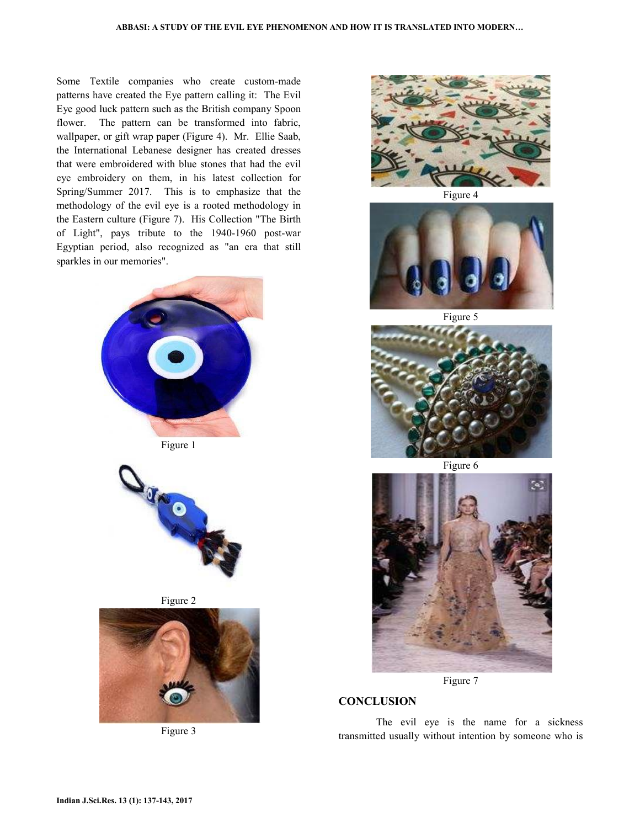Some Textile companies who create custom-made patterns have created the Eye pattern calling it: The Evil Eye good luck pattern such as the British company Spoon flower. The pattern can be transformed into fabric, wallpaper, or gift wrap paper (Figure 4). Mr. Ellie Saab, the International Lebanese designer has created dresses that were embroidered with blue stones that had the evil eye embroidery on them, in his latest collection for Spring/Summer 2017. This is to emphasize that the methodology of the evil eye is a rooted methodology in the Eastern culture (Figure 7). His Collection "The Birth of Light", pays tribute to the 1940-1960 post-war Egyptian period, also recognized as "an era that still sparkles in our memories".









Figure 3



Figure 4



Figure 5



Figure 6



Figure 7

## **CONCLUSION**

 The evil eye is the name for a sickness transmitted usually without intention by someone who is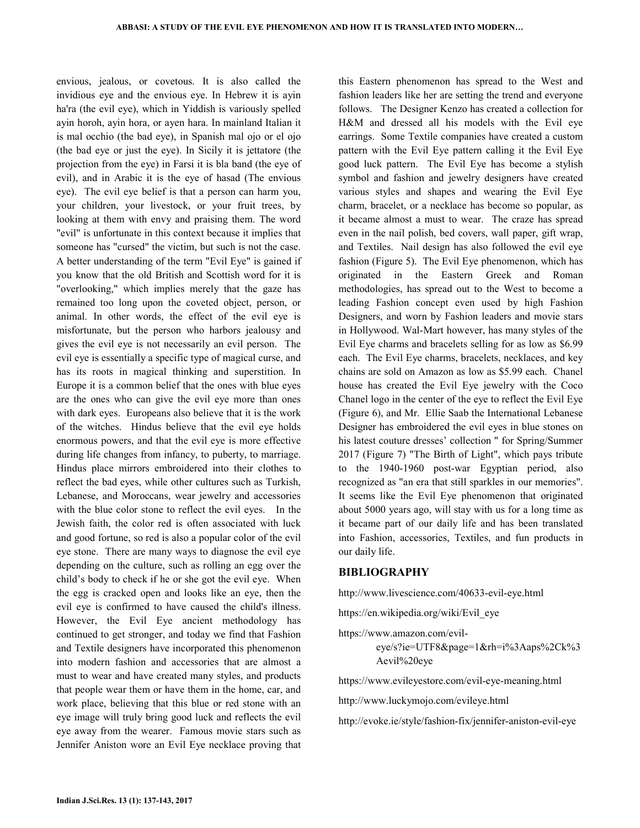envious, jealous, or covetous. It is also called the invidious eye and the envious eye. In Hebrew it is ayin ha'ra (the evil eye), which in Yiddish is variously spelled ayin horoh, ayin hora, or ayen hara. In mainland Italian it is mal occhio (the bad eye), in Spanish mal ojo or el ojo (the bad eye or just the eye). In Sicily it is jettatore (the projection from the eye) in Farsi it is bla band (the eye of evil), and in Arabic it is the eye of hasad (The envious eye). The evil eye belief is that a person can harm you, your children, your livestock, or your fruit trees, by looking at them with envy and praising them. The word "evil" is unfortunate in this context because it implies that someone has "cursed" the victim, but such is not the case. A better understanding of the term "Evil Eye" is gained if you know that the old British and Scottish word for it is "overlooking," which implies merely that the gaze has remained too long upon the coveted object, person, or animal. In other words, the effect of the evil eye is misfortunate, but the person who harbors jealousy and gives the evil eye is not necessarily an evil person. The evil eye is essentially a specific type of magical curse, and has its roots in magical thinking and superstition. In Europe it is a common belief that the ones with blue eyes are the ones who can give the evil eye more than ones with dark eyes. Europeans also believe that it is the work of the witches. Hindus believe that the evil eye holds enormous powers, and that the evil eye is more effective during life changes from infancy, to puberty, to marriage. Hindus place mirrors embroidered into their clothes to reflect the bad eyes, while other cultures such as Turkish, Lebanese, and Moroccans, wear jewelry and accessories with the blue color stone to reflect the evil eyes. In the Jewish faith, the color red is often associated with luck and good fortune, so red is also a popular color of the evil eye stone. There are many ways to diagnose the evil eye depending on the culture, such as rolling an egg over the child's body to check if he or she got the evil eye. When the egg is cracked open and looks like an eye, then the evil eye is confirmed to have caused the child's illness. However, the Evil Eye ancient methodology has continued to get stronger, and today we find that Fashion and Textile designers have incorporated this phenomenon into modern fashion and accessories that are almost a must to wear and have created many styles, and products that people wear them or have them in the home, car, and work place, believing that this blue or red stone with an eye image will truly bring good luck and reflects the evil eye away from the wearer. Famous movie stars such as Jennifer Aniston wore an Evil Eye necklace proving that

this Eastern phenomenon has spread to the West and fashion leaders like her are setting the trend and everyone follows. The Designer Kenzo has created a collection for H&M and dressed all his models with the Evil eye earrings. Some Textile companies have created a custom pattern with the Evil Eye pattern calling it the Evil Eye good luck pattern. The Evil Eye has become a stylish symbol and fashion and jewelry designers have created various styles and shapes and wearing the Evil Eye charm, bracelet, or a necklace has become so popular, as it became almost a must to wear. The craze has spread even in the nail polish, bed covers, wall paper, gift wrap, and Textiles. Nail design has also followed the evil eye fashion (Figure 5). The Evil Eye phenomenon, which has originated in the Eastern Greek and Roman methodologies, has spread out to the West to become a leading Fashion concept even used by high Fashion Designers, and worn by Fashion leaders and movie stars in Hollywood. Wal-Mart however, has many styles of the Evil Eye charms and bracelets selling for as low as \$6.99 each. The Evil Eye charms, bracelets, necklaces, and key chains are sold on Amazon as low as \$5.99 each. Chanel house has created the Evil Eye jewelry with the Coco Chanel logo in the center of the eye to reflect the Evil Eye (Figure 6), and Mr. Ellie Saab the International Lebanese Designer has embroidered the evil eyes in blue stones on his latest couture dresses' collection " for Spring/Summer 2017 (Figure 7) "The Birth of Light", which pays tribute to the 1940-1960 post-war Egyptian period, also recognized as "an era that still sparkles in our memories". It seems like the Evil Eye phenomenon that originated about 5000 years ago, will stay with us for a long time as it became part of our daily life and has been translated into Fashion, accessories, Textiles, and fun products in our daily life.

#### **BIBLIOGRAPHY**

http://www.livescience.com/40633-evil-eye.html

https://en.wikipedia.org/wiki/Evil\_eye

https://www.amazon.com/evileye/s?ie=UTF8&page=1&rh=i%3Aaps%2Ck%3 Aevil%20eye

https://www.evileyestore.com/evil-eye-meaning.html

http://www.luckymojo.com/evileye.html

http://evoke.ie/style/fashion-fix/jennifer-aniston-evil-eye